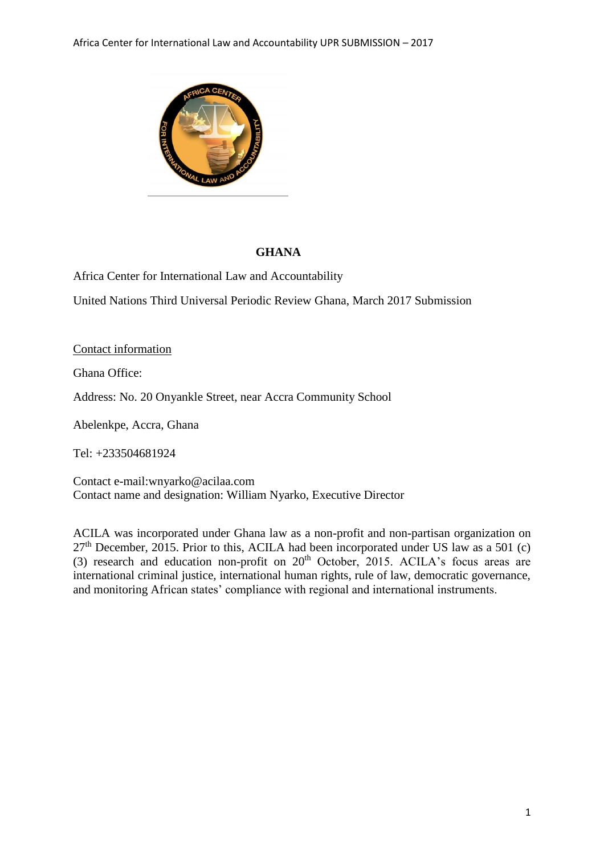

# **GHANA**

Africa Center for International Law and Accountability

United Nations Third Universal Periodic Review Ghana, March 2017 Submission

# Contact information

Ghana Office:

Address: No. 20 Onyankle Street, near Accra Community School

Abelenkpe, Accra, Ghana

Tel: +233504681924

Contact e-mail:wnyarko@acilaa.com Contact name and designation: William Nyarko, Executive Director

ACILA was incorporated under Ghana law as a non-profit and non-partisan organization on  $27<sup>th</sup>$  December, 2015. Prior to this, ACILA had been incorporated under US law as a 501 (c) (3) research and education non-profit on  $20<sup>th</sup>$  October, 2015. ACILA's focus areas are international criminal justice, international human rights, rule of law, democratic governance, and monitoring African states' compliance with regional and international instruments.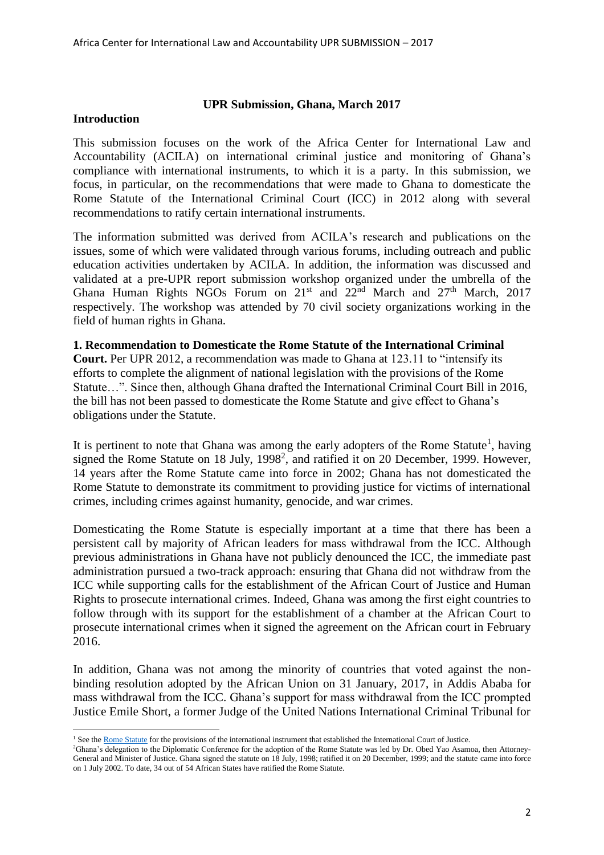### **UPR Submission, Ghana, March 2017**

#### **Introduction**

This submission focuses on the work of the Africa Center for International Law and Accountability (ACILA) on international criminal justice and monitoring of Ghana's compliance with international instruments, to which it is a party. In this submission, we focus, in particular, on the recommendations that were made to Ghana to domesticate the Rome Statute of the International Criminal Court (ICC) in 2012 along with several recommendations to ratify certain international instruments.

The information submitted was derived from ACILA's research and publications on the issues, some of which were validated through various forums, including outreach and public education activities undertaken by ACILA. In addition, the information was discussed and validated at a pre-UPR report submission workshop organized under the umbrella of the Ghana Human Rights NGOs Forum on 21<sup>st</sup> and 22<sup>nd</sup> March and 27<sup>th</sup> March, 2017 respectively. The workshop was attended by 70 civil society organizations working in the field of human rights in Ghana.

#### **1. Recommendation to Domesticate the Rome Statute of the International Criminal**

**Court.** Per UPR 2012, a recommendation was made to Ghana at 123.11 to "intensify its efforts to complete the alignment of national legislation with the provisions of the Rome Statute…". Since then, although Ghana drafted the International Criminal Court Bill in 2016, the bill has not been passed to domesticate the Rome Statute and give effect to Ghana's obligations under the Statute.

It is pertinent to note that Ghana was among the early adopters of the Rome Statute<sup>1</sup>, having signed the Rome Statute on 18 July, 1998<sup>2</sup>, and ratified it on 20 December, 1999. However, 14 years after the Rome Statute came into force in 2002; Ghana has not domesticated the Rome Statute to demonstrate its commitment to providing justice for victims of international crimes, including crimes against humanity, genocide, and war crimes.

Domesticating the Rome Statute is especially important at a time that there has been a persistent call by majority of African leaders for mass withdrawal from the ICC. Although previous administrations in Ghana have not publicly denounced the ICC, the immediate past administration pursued a two-track approach: ensuring that Ghana did not withdraw from the ICC while supporting calls for the establishment of the African Court of Justice and Human Rights to prosecute international crimes. Indeed, Ghana was among the first eight countries to follow through with its support for the establishment of a chamber at the African Court to prosecute international crimes when it signed the agreement on the African court in February 2016.

In addition, Ghana was not among the minority of countries that voted against the nonbinding resolution adopted by the African Union on 31 January, 2017, in Addis Ababa for mass withdrawal from the ICC. Ghana's support for mass withdrawal from the ICC prompted Justice Emile Short, a former Judge of the United Nations International Criminal Tribunal for

 $\overline{a}$ <sup>1</sup> See the [Rome Statute](http://legal.un.org/icc/statute/99_corr/cstatute.htm) for the provisions of the international instrument that established the International Court of Justice.

<sup>2</sup>Ghana's delegation to the Diplomatic Conference for the adoption of the Rome Statute was led by Dr. Obed Yao Asamoa, then Attorney-General and Minister of Justice. Ghana signed the statute on 18 July, 1998; ratified it on 20 December, 1999; and the statute came into force on 1 July 2002. To date, 34 out of 54 African States have ratified the Rome Statute.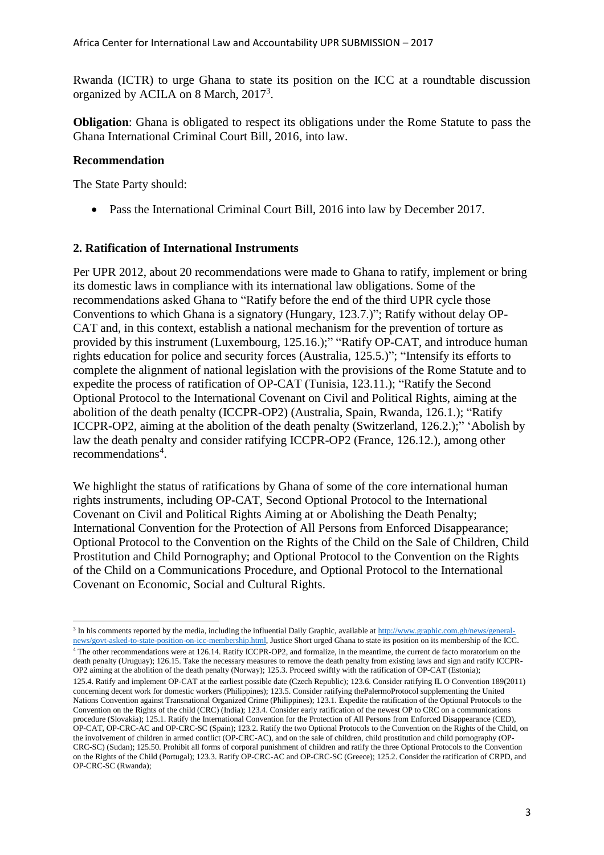Rwanda (ICTR) to urge Ghana to state its position on the ICC at a roundtable discussion organized by ACILA on 8 March, 2017<sup>3</sup>.

**Obligation**: Ghana is obligated to respect its obligations under the Rome Statute to pass the Ghana International Criminal Court Bill, 2016, into law.

### **Recommendation**

OP-CRC-SC (Rwanda);

The State Party should:

• Pass the International Criminal Court Bill, 2016 into law by December 2017.

### **2. Ratification of International Instruments**

Per UPR 2012, about 20 recommendations were made to Ghana to ratify, implement or bring its domestic laws in compliance with its international law obligations. Some of the recommendations asked Ghana to "Ratify before the end of the third UPR cycle those Conventions to which Ghana is a signatory (Hungary, 123.7.)"; Ratify without delay OP-CAT and, in this context, establish a national mechanism for the prevention of torture as provided by this instrument (Luxembourg, 125.16.);" "Ratify OP-CAT, and introduce human rights education for police and security forces (Australia, 125.5.)"; "Intensify its efforts to complete the alignment of national legislation with the provisions of the Rome Statute and to expedite the process of ratification of OP-CAT (Tunisia, 123.11.); "Ratify the Second Optional Protocol to the International Covenant on Civil and Political Rights, aiming at the abolition of the death penalty (ICCPR-OP2) (Australia, Spain, Rwanda, 126.1.); "Ratify ICCPR-OP2, aiming at the abolition of the death penalty (Switzerland, 126.2.);" 'Abolish by law the death penalty and consider ratifying ICCPR-OP2 (France, 126.12.), among other recommendations<sup>4</sup>.

We highlight the status of ratifications by Ghana of some of the core international human rights instruments, including OP-CAT, Second Optional Protocol to the International Covenant on Civil and Political Rights Aiming at or Abolishing the Death Penalty; International Convention for the Protection of All Persons from Enforced Disappearance; Optional Protocol to the Convention on the Rights of the Child on the Sale of Children, Child Prostitution and Child Pornography; and Optional Protocol to the Convention on the Rights of the Child on a Communications Procedure, and Optional Protocol to the International Covenant on Economic, Social and Cultural Rights.

<sup>4</sup> The other recommendations were at 126.14. Ratify ICCPR-OP2, and formalize, in the meantime, the current de facto moratorium on the death penalty (Uruguay); 126.15. Take the necessary measures to remove the death penalty from existing laws and sign and ratify ICCPR-OP2 aiming at the abolition of the death penalty (Norway); 125.3. Proceed swiftly with the ratification of OP-CAT (Estonia); 125.4. Ratify and implement OP-CAT at the earliest possible date (Czech Republic); 123.6. Consider ratifying IL O Convention 189(2011) concerning decent work for domestic workers (Philippines); 123.5. Consider ratifying thePalermoProtocol supplementing the United Nations Convention against Transnational Organized Crime (Philippines); 123.1. Expedite the ratification of the Optional Protocols to the Convention on the Rights of the child (CRC) (India); 123.4. Consider early ratification of the newest OP to CRC on a communications procedure (Slovakia); 125.1. Ratify the International Convention for the Protection of All Persons from Enforced Disappearance (CED), OP-CAT, OP-CRC-AC and OP-CRC-SC (Spain); 123.2. Ratify the two Optional Protocols to the Convention on the Rights of the Child, on the involvement of children in armed conflict (OP-CRC-AC), and on the sale of children, child prostitution and child pornography (OP-CRC-SC) (Sudan); 125.50. Prohibit all forms of corporal punishment of children and ratify the three Optional Protocols to the Convention on the Rights of the Child (Portugal); 123.3. Ratify OP-CRC-AC and OP-CRC-SC (Greece); 125.2. Consider the ratification of CRPD, and

<sup>&</sup>lt;sup>3</sup> In his comments reported by the media, including the influential Daily Graphic, available at [http://www.graphic.com.gh/news/general](http://www.graphic.com.gh/news/general-news/govt-asked-to-state-position-on-icc-membership.html)[news/govt-asked-to-state-position-on-icc-membership.html,](http://www.graphic.com.gh/news/general-news/govt-asked-to-state-position-on-icc-membership.html) Justice Short urged Ghana to state its position on its membership of the ICC.